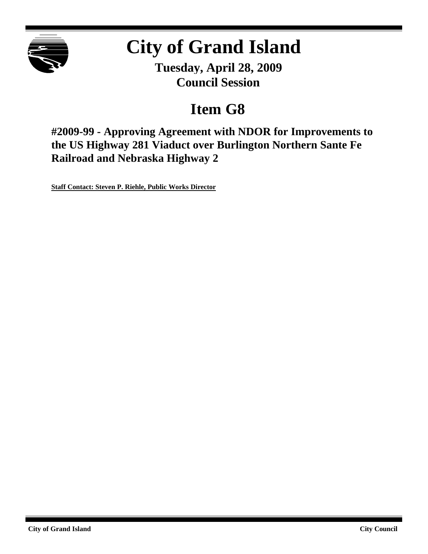

# **City of Grand Island**

**Tuesday, April 28, 2009 Council Session**

# **Item G8**

**#2009-99 - Approving Agreement with NDOR for Improvements to the US Highway 281 Viaduct over Burlington Northern Sante Fe Railroad and Nebraska Highway 2**

**Staff Contact: Steven P. Riehle, Public Works Director**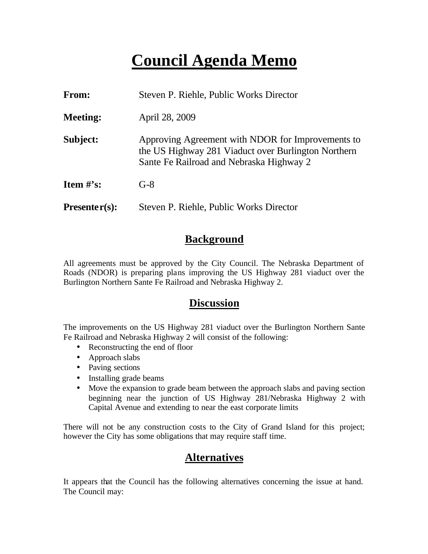# **Council Agenda Memo**

| From:           | Steven P. Riehle, Public Works Director                                                                                                              |  |  |
|-----------------|------------------------------------------------------------------------------------------------------------------------------------------------------|--|--|
| <b>Meeting:</b> | April 28, 2009                                                                                                                                       |  |  |
| Subject:        | Approving Agreement with NDOR for Improvements to<br>the US Highway 281 Viaduct over Burlington Northern<br>Sante Fe Railroad and Nebraska Highway 2 |  |  |
| Item $#$ 's:    | $G-8$                                                                                                                                                |  |  |
| $Presenter(s):$ | Steven P. Riehle, Public Works Director                                                                                                              |  |  |

### **Background**

All agreements must be approved by the City Council. The Nebraska Department of Roads (NDOR) is preparing plans improving the US Highway 281 viaduct over the Burlington Northern Sante Fe Railroad and Nebraska Highway 2.

### **Discussion**

The improvements on the US Highway 281 viaduct over the Burlington Northern Sante Fe Railroad and Nebraska Highway 2 will consist of the following:

- Reconstructing the end of floor
- Approach slabs
- Paving sections
- Installing grade beams
- Move the expansion to grade beam between the approach slabs and paving section beginning near the junction of US Highway 281/Nebraska Highway 2 with Capital Avenue and extending to near the east corporate limits

There will not be any construction costs to the City of Grand Island for this project; however the City has some obligations that may require staff time.

## **Alternatives**

It appears that the Council has the following alternatives concerning the issue at hand. The Council may: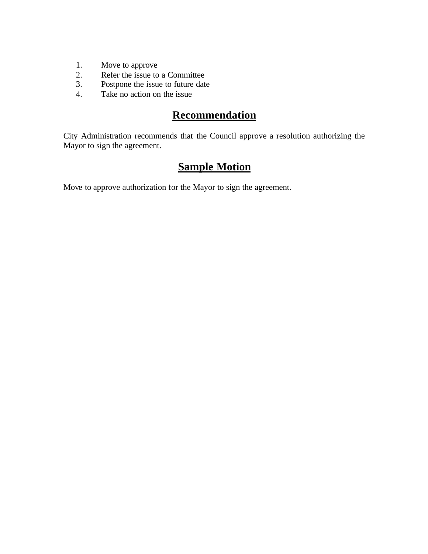- 1. Move to approve
- 2. Refer the issue to a Committee
- 3. Postpone the issue to future date
- 4. Take no action on the issue

## **Recommendation**

City Administration recommends that the Council approve a resolution authorizing the Mayor to sign the agreement.

# **Sample Motion**

Move to approve authorization for the Mayor to sign the agreement.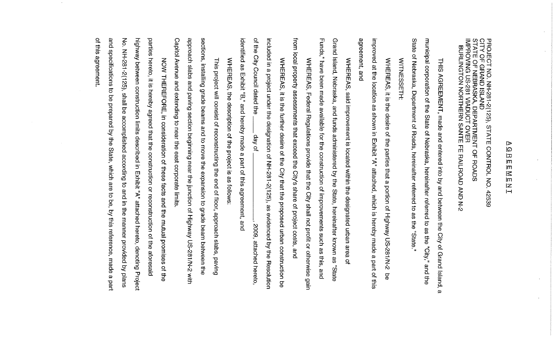### Þ စြ  $\overline{\mathbf{u}}$  $\overline{\mathsf{m}}$ ļΠ  $\leq$ ļΠ ΙZ i⊣

PROJECT NO. NH-281-2(125), STATE CONTROL NO. 42539<br>CITY OF GRAND ISLAND<br>STATE OF NEBRASKA, DEPARTMENT OF ROADS<br>IMPROVING US-281 VIADUCT OVER<br>BURLINGTON NORTHERN SANTE FE RAILROAD AND N-2

State municipal corporation of the State of Nebraska, hereinafter referred to as the "City," and the of Nebraska, Department of Roads, hereinafter referred to as the "State THIS AGREEMENT, made and entered into by and between the City of Grand Island, മ

WITNESSETH:

agreement, and improved at the location as shown in Exhibit "A" attached, which is hereby made a part of this WHEREAS, it is the desire of the parties that a portion of Highway US-281/N-2 9Ó

Funds," have been made available for the construction of improvements such as this, and Grand Island, Nebraska, and funds administered by the State, hereinafter known as "State WHERPS, said inprovement is located within the designated urban area  $\overline{a}$ 

from local property assessments that exceed the City's share of project costs, and WHEREAS, Federal Regulations provide that the City shall not profit or otherwise gain

identified as Exhibit "B," and hereby made a part of this agreement, and of the City Concilidated the included in a project under the designation of NH-281-2(125), as evidenced by the Resolution WHERE CONSTRIPTED TO THE CITY THAT THE DISPOSSED INTERNATION OF jo vab 2009, attached hereto,

WHEREAS, the description of the project is as follows:

Capitol Avenue and extending to near the east corporate limits. approach slabs and paving section beginning near the junction of Highway US-281/N-2 with sections, installing grade beams and to move the expansion to grade beam between the This project will consist of reconstructing the end of floor, approach slabs, paving

and of this agreement No. NH-281-2(125), shall be accomplished according to and in the manner provided by plans highway between construction limits described in Exhibit "A" attached hereto, denoting Project parties hereto, it is hereby agreed that the construction or reconstruction of the aforesaid specifications NOW THEREFORE, in consideration of these tacts and the mutual promises  $\overline{5}$ be prepared by the State, which are to be, by this reference, made a part of the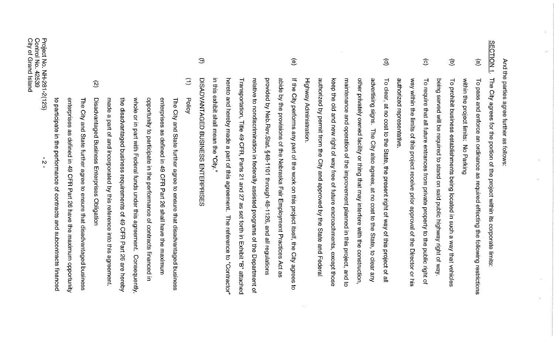| Project No. NH-281-2(125)<br>Control No. 42539<br>N                                                                        | City of Grand Island   |
|----------------------------------------------------------------------------------------------------------------------------|------------------------|
| to participate in the performance of contracts<br>and subcontracts financed                                                |                        |
| enterprises as defined in 49 CFR Part<br>26 have the maximum opportunity                                                   |                        |
| <b>The</b><br>City and State further agree to ensure that disadvantaged business                                           |                        |
| $\widehat{\mathcal{D}}$<br>Disadvantaged Business Enterprises<br>Obligation                                                |                        |
| made<br>$\omega$<br>part of and incorporated by this reference into this agreement.                                        |                        |
| the disadvantaged business requirements of 49<br><b>CFR Part</b><br>92<br>are hereby                                       |                        |
| whole or in part with Federal tunds under this agreement.<br>Consequently,                                                 |                        |
| opportunity to participate in the performance of contracts financed in                                                     |                        |
| enterprises as defined in 49 OFB part 26 shall have the maximum                                                            |                        |
| The City and<br>State further agree<br>to ensure that disadvantaged business                                               |                        |
| $\widehat{\Xi}$<br>Policy                                                                                                  |                        |
| DIS<br><b>ADVANTAGED</b><br>BUSINESS ENTRIPHISE<br>CO.                                                                     | $\oplus$               |
| in this exhibit shall mean the "City."                                                                                     |                        |
| hereto and hereby made a part of this<br>agreement.<br>The reference to "Contractor"                                       |                        |
| Transportation, Title 49<br>CFR, Parts 21 and 27<br>as set forth in Exhibit "B"<br>attached                                |                        |
| relative to nondiscrimination in federally assisted programs of the Department of                                          |                        |
| provided by Neb.Rev.Stat. §48-1101 through 48-1126, and all regulations                                                    |                        |
| abide by the provisions of the Nebraska Fair Employment Practices<br>Act as                                                |                        |
| If the<br>City performs any part of the work on this project itself, the City<br>agrees<br>ಕ                               | $\widehat{\mathbf{e}}$ |
| Highway Administration.                                                                                                    |                        |
| authorized by permit from the City and approved by the State and Federal                                                   |                        |
| keep<br>the old and new right of way free<br>of future<br>encroachments,<br>except those                                   |                        |
| maintenance and operation<br>of the improvement planned in this project,<br>and to                                         |                        |
| other<br>privately owned facility or thing that may interfere with the<br>construction,                                    |                        |
| advertising signs.<br>The City also agrees,<br>at no<br>cost to the<br>State,<br>$\vec{o}$<br>clear<br>Aue                 |                        |
| $\overline{\circ}$<br>clear,<br>at no<br>cost to the<br>State,<br>the present right of way<br>of this<br>project<br>으<br>≌ | $\widehat{\mathsf{e}}$ |
| authorized<br>representative                                                                                               |                        |
| way within the limits of this project receive prior approval of the Director or his                                        |                        |
| ᅙ<br>require<br>that all future entrances from<br>private property<br>to the public right<br>٩                             | $\odot$                |
| being served will be required to stand on said public highway right of way                                                 |                        |
| $\vec{c}$<br>prohibit business<br>establishments being located in such<br>$\pmb{\omega}$<br>way that vehicles              | $\widehat{\sigma}$     |
| within the project limits: No Parking                                                                                      |                        |
| $\overline{c}$<br>pass and enforce an ordinance as required effecting the following restrictions                           | $\widehat{e}$          |
| <b>The</b><br>City agrees for the portion of the project within its<br>corporate limits:                                   | <b>SECTION</b><br>Ļ    |
| And the parties agree further as follows:                                                                                  |                        |

 $\sim$ 

 $\sim$ 

 $\sim$ 

 $\mathcal{A}^{\pm}$ 

 $\sim$ 

 $\sim$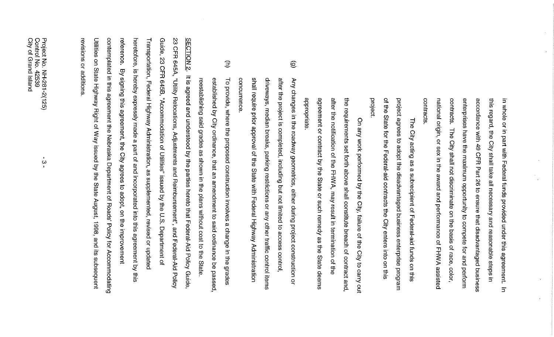| revisions or additions                                                                                           |  |
|------------------------------------------------------------------------------------------------------------------|--|
| Utilities on State Highway Right of Way issued by the State August, 1998, and its subsequent                     |  |
| contemplated in this agreement the Nebraska Department of Roads'<br>Policy for Accommodating                     |  |
| reference.<br>By signing this agreement, the City agrees<br>$\overline{\sigma}$<br>adopt, on the improvement     |  |
| heretofore, is hereby expressly made a part of and incorporated into this agreement by this                      |  |
| Transportation, Federal Highway Administration, as supplemented, revised or updated                              |  |
| Guide, 23 CFR 645B, "Accommodation of Utilities" issued by the U.S. Department of                                |  |
| 23 CFR 645A, "Utility Relocations, Adjustments and Reimbursement", and Federal-Aid Policy                        |  |
| <b>SECTION 2.</b><br>It is agreed and understood by the parties hereto that Federal-Aid Policy Guide,            |  |
| reestablishing said grades as shown in the plans without cost to the State                                       |  |
| established by City ordinance, that an<br>amendment to said ordinance be passed,                                 |  |
| $\widehat{\Xi}$<br>$\overline{c}$<br>provide, where the proposed construction involves a change in<br>the grades |  |
| concurrence                                                                                                      |  |
| shall require prior approval of the State with Federal Highway Administration                                    |  |
| driveways, median breaks, parking restrictions or any other traffic control items                                |  |
| after the project is completed, including but not limited to access control,                                     |  |
| $\widehat{\mathfrak{S}}$<br>Any changes in the roadway geometrics, either during project construction or         |  |
| appropriate                                                                                                      |  |
| agreement or contract by the State or such remedy as the State deems                                             |  |
| after the notification of the FHWA, may result in termination of the                                             |  |
| 급<br>requirements set forth above shall constitute breach of contract and,                                       |  |
| On any work performed by the City, failure of the<br>City to carry out                                           |  |
| project.                                                                                                         |  |
| of the<br>State for the Federal-aid contracts the City enters into on this                                       |  |
| project<br>agrees to<br>adopt the disadvantaged business enterprise<br>program                                   |  |
| Ihe<br>City acting as<br>$\boldsymbol{\omega}$<br>subrecipient of Federal-aid funds<br>on this                   |  |
| contracts                                                                                                        |  |
| national origin, or sex in the award and performance of FHWA assisted                                            |  |
| contracts.<br>The City shall not discriminate on the basis of race, color                                        |  |
| enterprises have the maximum opportunity to compete for and perform                                              |  |
| accordance with 49 CFR<br>Part 26 to ensure that disadvantaged business                                          |  |
| this regard, the<br>City shall take all necessary and reasonable steps<br>$\exists$                              |  |
| in whole or in part with Federal funds provided under this agreement.<br>$\overline{5}$                          |  |
|                                                                                                                  |  |

 $\sim$ 

 $\mathcal{L}^{\mathcal{L}}$ 

 $\Delta^2$ 

 $\frac{1}{2}$ 

 $\mathcal{A}^{\pm}$ 

 $\mathcal{A}^{\mathcal{A}}$ 

 $\frac{1}{\alpha}$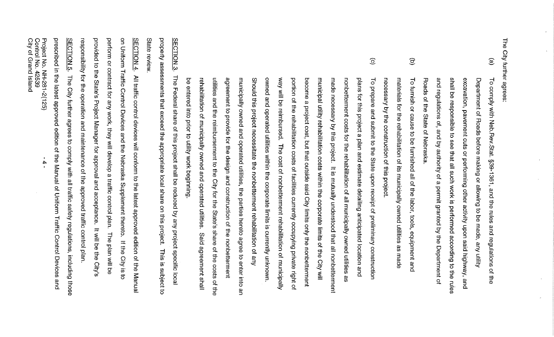The City further agrees:

- $\circledcirc$ Roads of the State of Nebraska and regulations of, and by authority of a permit granted by the Department of shall be responsible to see that all such work is performed according to the rules excavation, pavement cuts or performing other activity upon said highway, and Department of Roads before making or allowing to be made, any utility To comply with Neb.Rev.Stat. §39-1361, and the rules and regulations of ₹
- $\widehat{\mathbf{c}}$ necessary by the construction of this project. materials for the rehabilitation of its municipally owned utilities as made To furnish or cause to be furnished all of the labor, tools, equipment and
- $\widehat{\odot}$ way will be reinportanced. The cost of nonpertent reprendition of municipally rehabilitation of municipally owned and operated utilities. utilities and the reimbursement to the City for the State's share of the costs of the agreement to provide for the design and construction of the nonbetterment municipally owned and operated utilities, the parties hereto agree to enter into an Should this project necessitate the nonbetterment rehabilitation of any owned and operated utilities within the corporate limits is currently unknown portion of the rehabilitation costs of facilities currently occupying private right of become a project cost, but that outside said City limits only the nonbetterment municipal utility vehabilitation costs within the corporate limits of the City will made necessary by this project. It is mutually understood that all nonbetterment nonbetterment costs for the rehabilitation of all municipally owned utilities as plans for this project a plan and estimate detailing anticipated location and To prepare and submit to the State upon receipt of preliminary construction Said agreement shall

property assessments that exceed the appropriate local share on this project. State review **SECTION 3** The Federal share of this project shall be reduced by any project specific local This is subject to

be entered into prior to utility work beginning.

prescribed in the latest approved edition of the Manual of Uniform Traffic Control Devices and **SECTION 5.** responsibility for the operation and maintenance of the approved traffic control plan provided to the State's Project Manager for approval and acceptance. perform or contract for any work, they will develop a traffic control plan. The plan will be on Uniform Traffic Control Devices and the Nebraska Supplement thereto. If the City is to SECTION 4. All traffic control devices will conform to the latest approved edition of the Manual The City further agrees to comply with all traffic safety regulations, including those It will be the **City's** 

Project No. NH-281-2(125)<br>Control No. 42539<br>City of Grand Island

 $\rightarrow$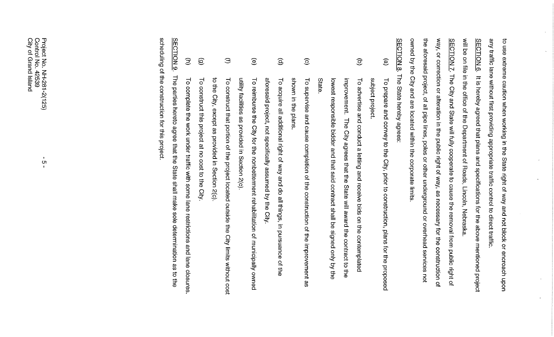| scheduling of the construction for this project.                                                            |                        |
|-------------------------------------------------------------------------------------------------------------|------------------------|
| The parties hereto agree that the State shall make sole determination as to the                             | <b>SECTION 9</b>       |
| To complete the work under traffic with some lane restrictions and lane closures.                           | $\widehat{\Xi}$        |
| To construct this project at no cost to the City.                                                           | $\circlede$            |
| to the City, except as provided in Section 2(c).                                                            |                        |
| To construct that portion of the project located outside the City limits without cost                       | $\oplus$               |
| utility facilities as provided in Section 2(c)                                                              |                        |
| To reimburse the City for the nonbetterment rehabilitation of municipally owned                             | $\widehat{\mathbf{e}}$ |
| aforesaid project, not specifically assumed by the City                                                     |                        |
| $\overline{\mathsf{d}}$<br>acquire all additional right of way and do all things, in pursuance of<br>宇<br>守 | $\widehat{\mathbf{e}}$ |
| shown in the plans                                                                                          |                        |
| To supervise and cause completion of the construction of the improvement as                                 | $\odot$                |
| State                                                                                                       |                        |
| lowest responsible bidder and that said contract shall be signed only by the                                |                        |
| improvement. The City agrees that the State will award the contract to the                                  |                        |
| To advertise and conduct a<br>letting and receive bids on the contemplated                                  | $\widehat{\Xi}$        |
| subject project                                                                                             |                        |
| To prepare and convey to the City, prior to construction, plans for the proposed                            | $\circledcirc$         |
| The State hereby agrees:                                                                                    | <b>SECTION 8.</b>      |
| owned by the City and are located within the corporate limits                                               |                        |
| the aforesaid project, of all pipe lines, poles or other underground or overhead services not               |                        |
| way, or correction or alteration in the public right of way, as necessary for the construction of           |                        |
| SECTION 7. The City and State will fully cooperate to cause the removal from public right of                |                        |
| will be on file in the office of the Department of Roads, Lincoln, Nebraska                                 |                        |
| It is hereby agreed that plans and specifications for the above mentioned project                           | <b>SECTION 6.</b>      |
| any traffic lane without first providing appropriate traffic control to direct traffic                      |                        |
| to use extreme caution when working in the State right of way and not block or encroach upon                |                        |

 $\mathcal{A}^{\mathcal{A}}$ 

 $\mathcal{L}^{\pm}$ 

 $\mathcal{F}^{\mathcal{S}}$ 

 $\mathcal{L}^{\pm}$ 

 $\epsilon$ 

 $\mathbf{r}^{\top}$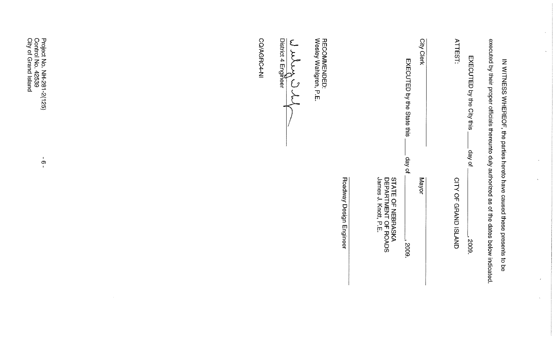| executed by their proper officials thereunto duly authorized as of the dates below indicated.<br>EXECUTED by the City this<br>IN WITNESS WHEREOF, the parties hereto have caused these presents to be<br>to yab. | 2009.                                                            |
|------------------------------------------------------------------------------------------------------------------------------------------------------------------------------------------------------------------|------------------------------------------------------------------|
| <b>ATTEST:</b>                                                                                                                                                                                                   | CITY OF GRAND ISLAND                                             |
| City Clerk                                                                                                                                                                                                       | Mayor                                                            |
| EXECUTED by the State this<br>day of                                                                                                                                                                             | 5005                                                             |
|                                                                                                                                                                                                                  | James J. Knott, P.E.<br>DEPARTMENT OF ROADS<br>STATE OF NEBRASKA |
|                                                                                                                                                                                                                  | Roadway Design Engineer                                          |
| Wesley Wahlgren, P.E.<br><b>RECOMMENDED:</b>                                                                                                                                                                     |                                                                  |
|                                                                                                                                                                                                                  |                                                                  |
| CO/AGRC4-NI                                                                                                                                                                                                      |                                                                  |
|                                                                                                                                                                                                                  |                                                                  |

 $\mathcal{A}^{\mathcal{A}}$ 

 $\bar{\mathcal{A}}$ 

 $\mathcal{A}^{\pm}$ 

 $\Delta$ 

 $\mathcal{F}^{\mathcal{S}}$ 

 $\hat{K}$ 

Project No. NH-281-2(125)<br>Control No. 42539<br>City of Grand Island

 $\overrightarrow{O}$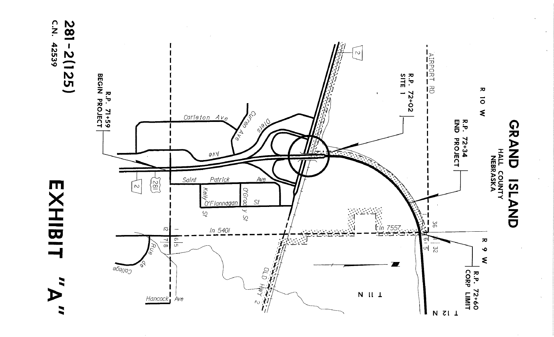

EXHIBI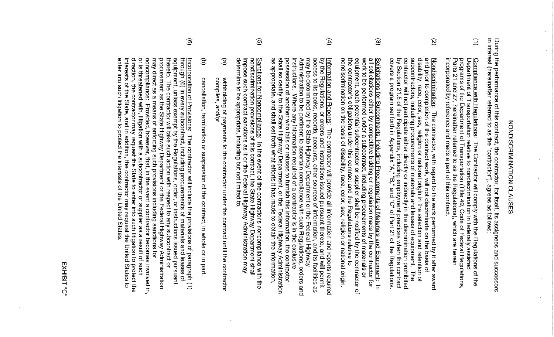# **SONDISCRIMINIVER CLAUGES**

in interest (hereinafter referred to as the "contractor"), agrees as follows: During the performance of this contract, the contractor, for itself, its assignees and successors

- $\widehat{\Xi}$ incorporated by reference and made a part of this contract <u>Compliance with Regulations</u>: The Contractor will comply with the Regulations of the<br>Department of Transportation relative to nondiscrimination in federally assisted<br>programs of the Department of Transportation (Title 49,
- $\widehat{\mathcal{Q}}$ contractor will not participate either directly or indirectly in the discrimination prohibited<br>by Section 21.5 of the Regulations, including employment practices when the contract<br>covers a program set forth in Appendix "A subcontractors, including procurements of materials and leases of equipment. disability, race, color, sex, religion or national origin in the selection and retention of Nondiscrimination: The contractor, with regard to the work performed by it after award and prior to completion of the contract work, will not discriminate on the basis of **The**
- $\widehat{\omega}$ nondiscrimination on the basis of disability, race, color, sex, religion or national origin. the contractor's obligations under this contract and the Regulations relative to work to be performed under a subcontract, including procurements of materials or all solicitations either by competitive bidding or negotiation made by the contractor for Solicitations for Subcontracts, Including Procurements of Materials and Equipment: In equipment, each potential subcontractor or supplier shall be notified by the contractor of
- $\widehat{\mathfrak{A}}$ possession of another who fails or refuses to furnish this information, the contractor<br>shall so certify to the State Highway Department, or the Federal Highway Administration<br>as appropriate, and shall set forth what effort instructions. acess to its hooks, records, accounter of information and its facilities as by the Regulations, or orders and instructions issued pursuant thereto, and will permit <u>Information and Reports:</u> Administration to be pertinent to ascertain compliance with such Regulations, orders and may be determined by the State Highway Department or the Federal Highway Where any information required of a contractor is in the exclusive The contractor will provide all information and reports required
- $\widehat{\Omega}$ impose such contract sanctions as it or the Federal Highway Administration may Sanctions for Noncompliance: determine to be appropriate, including but not limited to, nondiscrimination provisions of this contract, the State Highway Department shall In the event of the contractor's noncompliance with the
- $\widehat{e}$ complies, and/or withholding of payments to the contractor under the contract until the contractor
- $\widehat{\Xi}$ cancellation, termination or suspension of the contract, in whole or in part
- $\widehat{\mathcal{O}}$ or is threatened with, litigation with a subcontractor or supplier as a result of such<br>direction, the contractor may request the State to enter into such litigation to protect the<br>interests of the State, and in addition, t procurement as the State Highway Department or the Federal Highway Administration <u>Incorporation of Provisions</u>: The contractor will include the provisions of paragraph (1)<br>through (6) in every subcontract, including procurements of materials and leases of noncompliance: may direct as a means of enforcing such provisions including sanctions for thereto. The contractor will take such action with respect to any subcontract or equipment, unless exempt by the Regulations, order, or instructions issued pursuant Provided, however, that, in the event a contractor becomes involved in,

EXHIBIT "C"